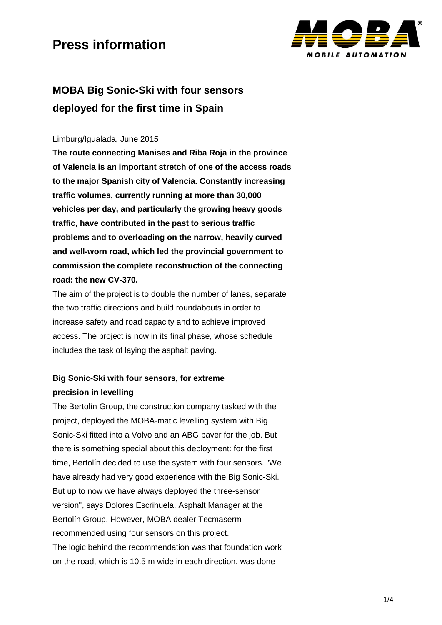

### **MOBA Big Sonic-Ski with four sensors deployed for the first time in Spain**

#### Limburg/Igualada, June 2015

**The route connecting Manises and Riba Roja in the province of Valencia is an important stretch of one of the access roads to the major Spanish city of Valencia. Constantly increasing traffic volumes, currently running at more than 30,000 vehicles per day, and particularly the growing heavy goods traffic, have contributed in the past to serious traffic problems and to overloading on the narrow, heavily curved and well-worn road, which led the provincial government to commission the complete reconstruction of the connecting road: the new CV-370.**

The aim of the project is to double the number of lanes, separate the two traffic directions and build roundabouts in order to increase safety and road capacity and to achieve improved access. The project is now in its final phase, whose schedule includes the task of laying the asphalt paving.

### **Big Sonic-Ski with four sensors, for extreme precision in levelling**

The Bertolín Group, the construction company tasked with the project, deployed the MOBA-matic levelling system with Big Sonic-Ski fitted into a Volvo and an ABG paver for the job. But there is something special about this deployment: for the first time, Bertolín decided to use the system with four sensors. "We have already had very good experience with the Big Sonic-Ski. But up to now we have always deployed the three-sensor version", says Dolores Escrihuela, Asphalt Manager at the Bertolín Group. However, MOBA dealer Tecmaserm recommended using four sensors on this project. The logic behind the recommendation was that foundation work on the road, which is 10.5 m wide in each direction, was done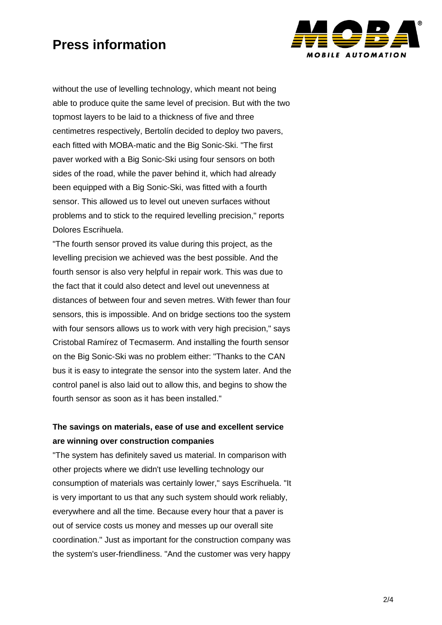

without the use of levelling technology, which meant not being able to produce quite the same level of precision. But with the two topmost layers to be laid to a thickness of five and three centimetres respectively, Bertolín decided to deploy two pavers, each fitted with MOBA-matic and the Big Sonic-Ski. "The first paver worked with a Big Sonic-Ski using four sensors on both sides of the road, while the paver behind it, which had already been equipped with a Big Sonic-Ski, was fitted with a fourth sensor. This allowed us to level out uneven surfaces without problems and to stick to the required levelling precision," reports Dolores Escrihuela.

"The fourth sensor proved its value during this project, as the levelling precision we achieved was the best possible. And the fourth sensor is also very helpful in repair work. This was due to the fact that it could also detect and level out unevenness at distances of between four and seven metres. With fewer than four sensors, this is impossible. And on bridge sections too the system with four sensors allows us to work with very high precision," says Cristobal Ramírez of Tecmaserm. And installing the fourth sensor on the Big Sonic-Ski was no problem either: "Thanks to the CAN bus it is easy to integrate the sensor into the system later. And the control panel is also laid out to allow this, and begins to show the fourth sensor as soon as it has been installed."

### **The savings on materials, ease of use and excellent service are winning over construction companies**

"The system has definitely saved us material. In comparison with other projects where we didn't use levelling technology our consumption of materials was certainly lower," says Escrihuela. "It is very important to us that any such system should work reliably, everywhere and all the time. Because every hour that a paver is out of service costs us money and messes up our overall site coordination." Just as important for the construction company was the system's user-friendliness. "And the customer was very happy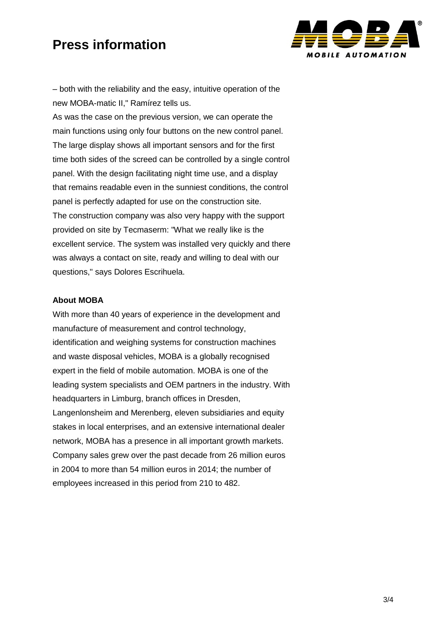

– both with the reliability and the easy, intuitive operation of the new MOBA-matic II," Ramírez tells us.

As was the case on the previous version, we can operate the main functions using only four buttons on the new control panel. The large display shows all important sensors and for the first time both sides of the screed can be controlled by a single control panel. With the design facilitating night time use, and a display that remains readable even in the sunniest conditions, the control panel is perfectly adapted for use on the construction site. The construction company was also very happy with the support provided on site by Tecmaserm: "What we really like is the excellent service. The system was installed very quickly and there was always a contact on site, ready and willing to deal with our questions," says Dolores Escrihuela.

#### **About MOBA**

With more than 40 years of experience in the development and manufacture of measurement and control technology, identification and weighing systems for construction machines and waste disposal vehicles, MOBA is a globally recognised expert in the field of mobile automation. MOBA is one of the leading system specialists and OEM partners in the industry. With headquarters in Limburg, branch offices in Dresden, Langenlonsheim and Merenberg, eleven subsidiaries and equity stakes in local enterprises, and an extensive international dealer network, MOBA has a presence in all important growth markets. Company sales grew over the past decade from 26 million euros in 2004 to more than 54 million euros in 2014; the number of employees increased in this period from 210 to 482.